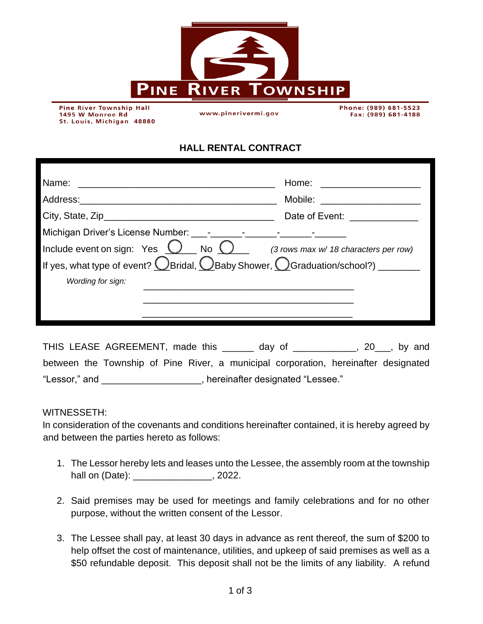

**Pine River Township Hall** 1495 W Monroe Rd St. Louis, Michigan 48880

www.pinerivermi.gov

Phone: (989) 681-5523 Fax: (989) 681-4188

## **HALL RENTAL CONTRACT**

| Name:<br><u> 1980 - Andrea Andrewski, fransk politik (d. 1980)</u>                                                                                                                                                                                                                                                                                     | Home:                                 |
|--------------------------------------------------------------------------------------------------------------------------------------------------------------------------------------------------------------------------------------------------------------------------------------------------------------------------------------------------------|---------------------------------------|
| Address: Andreas and the set of the set of the set of the set of the set of the set of the set of the set of the set of the set of the set of the set of the set of the set of the set of the set of the set of the set of the<br><u> 1989 - Johann John Harry Harry Harry Harry Harry Harry Harry Harry Harry Harry Harry Harry Harry Harry Harry</u> | Mobile:                               |
|                                                                                                                                                                                                                                                                                                                                                        | Date of Event:                        |
| Michigan Driver's License Number: [10] - [10] - [10] - [10] - [10] - [10] - [10] - [10] - [10] - [10] - [10] - [10] - [10] - [10] - [10] - [10] - [10] - [10] - [10] - [10] - [10] - [10] - [10] - [10] - [10] - [10] - [10] -                                                                                                                         |                                       |
| Include event on sign: Yes $\bigcirc$ No $\bigcirc$                                                                                                                                                                                                                                                                                                    | (3 rows max w/ 18 characters per row) |
| If yes, what type of event? $\bigcirc$ Bridal, $\bigcirc$ Baby Shower, $\bigcirc$ Graduation/school?) _______                                                                                                                                                                                                                                          |                                       |
| Wording for sign:                                                                                                                                                                                                                                                                                                                                      |                                       |
|                                                                                                                                                                                                                                                                                                                                                        |                                       |
|                                                                                                                                                                                                                                                                                                                                                        |                                       |

THIS LEASE AGREEMENT, made this \_\_\_\_\_\_ day of \_\_\_\_\_\_\_\_\_\_, 20\_\_, by and between the Township of Pine River, a municipal corporation, hereinafter designated "Lessor," and \_\_\_\_\_\_\_\_\_\_\_\_\_\_\_\_\_\_\_, hereinafter designated "Lessee."

## WITNESSETH:

In consideration of the covenants and conditions hereinafter contained, it is hereby agreed by and between the parties hereto as follows:

- 1. The Lessor hereby lets and leases unto the Lessee, the assembly room at the township hall on (Date):  $\qquad \qquad$  . 2022.
- 2. Said premises may be used for meetings and family celebrations and for no other purpose, without the written consent of the Lessor.
- 3. The Lessee shall pay, at least 30 days in advance as rent thereof, the sum of \$200 to help offset the cost of maintenance, utilities, and upkeep of said premises as well as a \$50 refundable deposit. This deposit shall not be the limits of any liability. A refund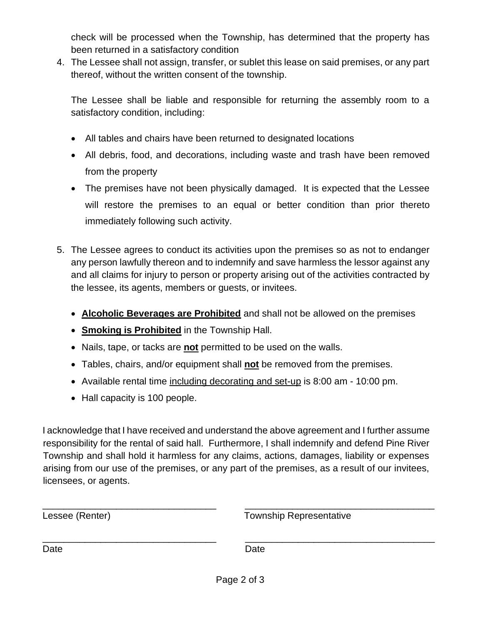check will be processed when the Township, has determined that the property has been returned in a satisfactory condition

4. The Lessee shall not assign, transfer, or sublet this lease on said premises, or any part thereof, without the written consent of the township.

The Lessee shall be liable and responsible for returning the assembly room to a satisfactory condition, including:

- All tables and chairs have been returned to designated locations
- All debris, food, and decorations, including waste and trash have been removed from the property
- The premises have not been physically damaged. It is expected that the Lessee will restore the premises to an equal or better condition than prior thereto immediately following such activity.
- 5. The Lessee agrees to conduct its activities upon the premises so as not to endanger any person lawfully thereon and to indemnify and save harmless the lessor against any and all claims for injury to person or property arising out of the activities contracted by the lessee, its agents, members or guests, or invitees.
	- **Alcoholic Beverages are Prohibited** and shall not be allowed on the premises
	- **Smoking is Prohibited** in the Township Hall.
	- Nails, tape, or tacks are **not** permitted to be used on the walls.
	- Tables, chairs, and/or equipment shall **not** be removed from the premises.
	- Available rental time including decorating and set-up is 8:00 am 10:00 pm.
	- Hall capacity is 100 people.

I acknowledge that I have received and understand the above agreement and I further assume responsibility for the rental of said hall. Furthermore, I shall indemnify and defend Pine River Township and shall hold it harmless for any claims, actions, damages, liability or expenses arising from our use of the premises, or any part of the premises, as a result of our invitees, licensees, or agents.

| Lessee (Renter) | <b>Township Representative</b> |
|-----------------|--------------------------------|
| Date            | Date                           |